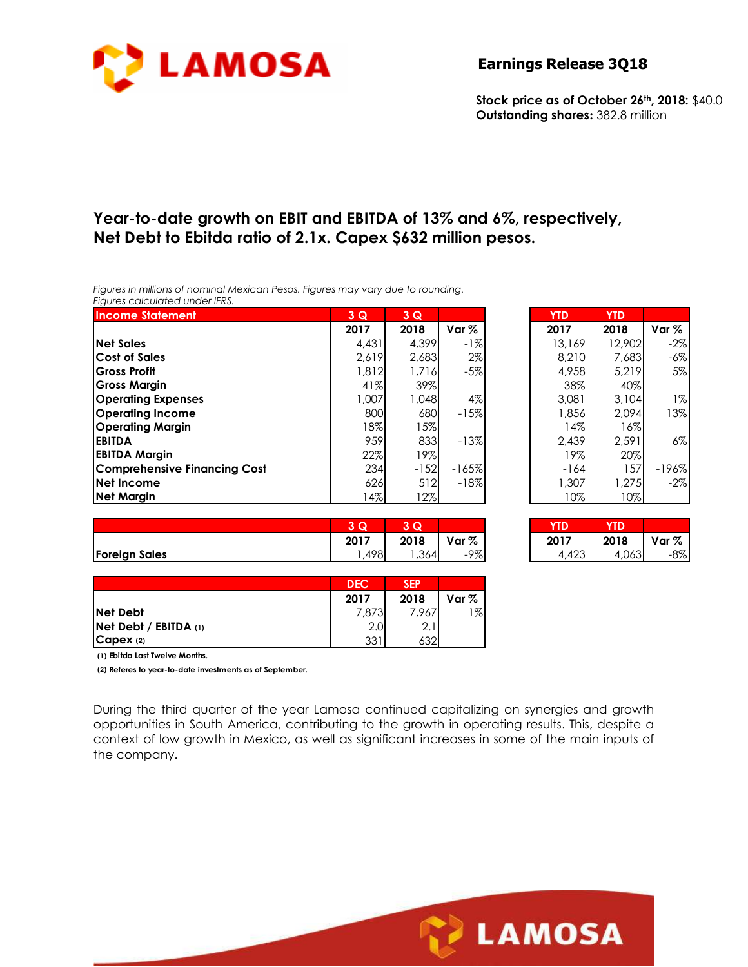

**Stock price as of October 26th, 2018:** \$40.0 **Outstanding shares:** 382.8 million

# **Year-to-date growth on EBIT and EBITDA of 13% and 6%, respectively, Net Debt to Ebitda ratio of 2.1x. Capex \$632 million pesos.**

*Figures in millions of nominal Mexican Pesos. Figures may vary due to rounding. Figures calculated under IFRS.* 

| <b>Income Statement</b>             | $3\overline{Q}$ | $3\overline{Q}$ |         | <b>YTD</b> | <b>YTD</b> |         |
|-------------------------------------|-----------------|-----------------|---------|------------|------------|---------|
|                                     | 2017            | 2018            | Var $%$ | 2017       | 2018       | Var $%$ |
| <b>Net Sales</b>                    | 4.431           | 4.399           | $-1%$   | 13,169     | 12,902     | $-2%$   |
| <b>Cost of Sales</b>                | 2.619           | 2,683           | 2%      | 8,210      | 7.683      | $-6%$   |
| <b>Gross Profit</b>                 | 1.812           | 1,716           | $-5%$   | 4,958      | 5.219      | 5%      |
| <b>Gross Margin</b>                 | 41%             | 39%             |         | 38%        | 40%        |         |
| <b>Operating Expenses</b>           | .007            | 1.048           | 4%      | 3.081      | 3.104      | 1%      |
| <b>Operating Income</b>             | 800             | 680             | $-15%$  | 1.856      | 2.094      | 13%     |
| <b>Operating Margin</b>             | $18\%$          | 15%             |         | 14%        | 16%        |         |
| <b>EBITDA</b>                       | 959             | 833             | $-13%$  | 2.439      | 2.591      | 6%      |
| <b>EBITDA Margin</b>                | 22%             | 19%             |         | 19%        | 20%        |         |
| <b>Comprehensive Financing Cost</b> | 234             | $-152$          | $-165%$ | -164       | 157        | $-196%$ |
| Net Income                          | 626             | 512             | $-18%$  | 1,307      | 1.275      | $-2%$   |
| <b>Net Margin</b>                   | $14\%$          | 12%             |         | 10%        | 10%        |         |

| $3\overline{Q}$ | $3\overline{Q}$ |         | <b>YTD</b> | <b>YTD</b> |         |
|-----------------|-----------------|---------|------------|------------|---------|
| 2017            | 2018            | Var %   | 2017       | 2018       | Var %   |
| 4,431           | 4.399           | -1%     | 13,169     | 12,902     | $-2\%$  |
| 2,619           | 2,683           | $2\%$   | 8,210      | 7,683      | $-6\%$  |
| 1,812           | 1,716           | $-5%$   | 4,958      | 5,219      | 5%      |
| 41%             | 39%             |         | 38%        | 40%        |         |
| 1,007           | 1,048           | 4%      | 3,081      | 3,104      | $1\%$   |
| 800             | 680             | $-15%$  | 1,856      | 2,094      | 13%     |
| 18%             | 15%             |         | 14%        | 16%        |         |
| 959             | 833             | $-13%$  | 2,439      | 2,591      | $6\%$   |
| 22%             | 19%             |         | 19%        | 20%        |         |
| 234             | $-152$          | $-165%$ | $-164$     | 157        | $-196%$ |
| 626             | 512             | $-18%$  | 1,307      | 1,275      | $-2%$   |
| 14%             | 12%             |         | 10%        | 10%        |         |

|                      | $\sim$<br>u | $\sim$ $\sim$<br>w |       | YID.          | <b>YTD</b> |       |
|----------------------|-------------|--------------------|-------|---------------|------------|-------|
|                      | 2017        | 2018               | Var % | 2017          | 2018       | Var % |
| <b>Foreign Sales</b> | .498        | ,364               | -9%   | 100<br>ال4∠7، | 4,063      | $-8%$ |

| 3Q   | Q    |       | (D   | D     |       |
|------|------|-------|------|-------|-------|
| 2017 | 2018 | Var % | 2017 | 2018  | Var % |
| .498 | .364 | -9%   | .423 | 4,063 | -8%   |

**LAMOSA** 

|                           | <b>DEC</b> | <b>SEP</b> |         |
|---------------------------|------------|------------|---------|
|                           | 2017       | 2018       | Var $%$ |
| <b>Net Debt</b>           | 7,873      | 7.967      | 1%      |
| $Net$ Debt / EBITDA $(1)$ | 2.0        | 2.1        |         |
| $\mathsf{Capex}\n$ (2)    | 331        | 632        |         |

**(1) Ebitda Last Twelve Months.**

**(2) Referes to year-to-date investments as of September.**

During the third quarter of the year Lamosa continued capitalizing on synergies and growth opportunities in South America, contributing to the growth in operating results. This, despite a context of low growth in Mexico, as well as significant increases in some of the main inputs of the company.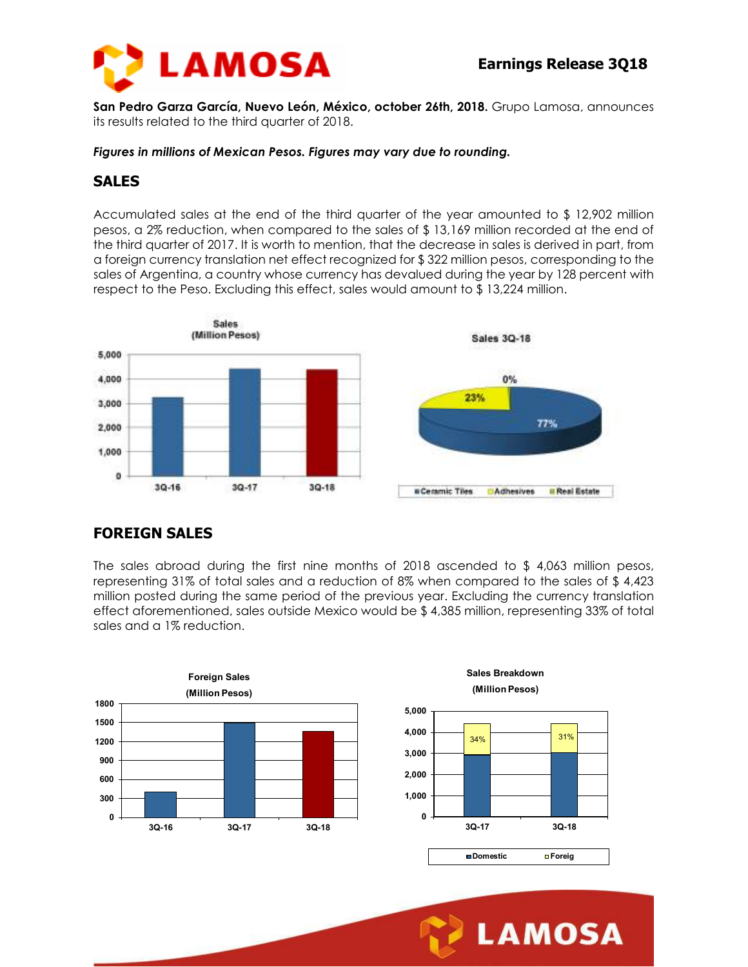**LAMOSA** 



**San Pedro Garza García, Nuevo León, México, october 26th, 2018.** Grupo Lamosa, announces its results related to the third quarter of 2018.

#### *Figures in millions of Mexican Pesos. Figures may vary due to rounding.*

#### **SALES**

Accumulated sales at the end of the third quarter of the year amounted to \$ 12,902 million pesos, a 2% reduction, when compared to the sales of \$ 13,169 million recorded at the end of the third quarter of 2017. It is worth to mention, that the decrease in sales is derived in part, from a foreign currency translation net effect recognized for \$ 322 million pesos, corresponding to the sales of Argentina, a country whose currency has devalued during the year by 128 percent with respect to the Peso. Excluding this effect, sales would amount to \$ 13,224 million.



### **FOREIGN SALES**

The sales abroad during the first nine months of 2018 ascended to \$ 4,063 million pesos, representing 31% of total sales and a reduction of 8% when compared to the sales of \$ 4,423 million posted during the same period of the previous year. Excluding the currency translation effect aforementioned, sales outside Mexico would be \$ 4,385 million, representing 33% of total sales and a 1% reduction.

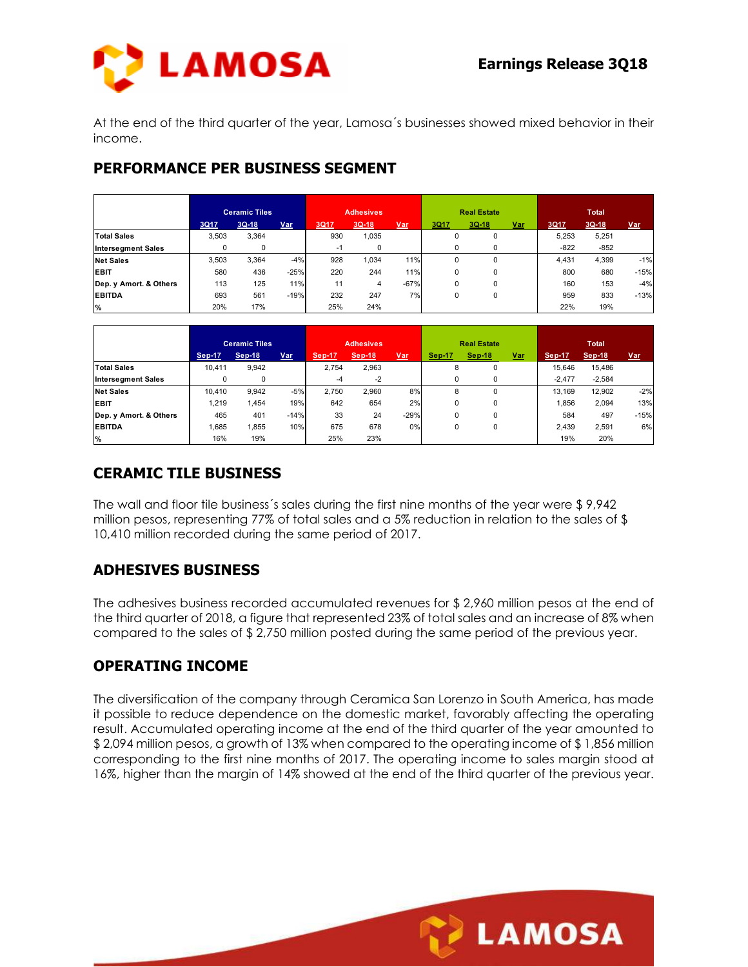

At the end of the third quarter of the year, Lamosa´s businesses showed mixed behavior in their income.

### **PERFORMANCE PER BUSINESS SEGMENT**

|                           | <b>Ceramic Tiles</b> |             |            |      | <b>Adhesives</b> |        |          | <b>Real Estate</b> |            | <b>Total</b> |         |            |
|---------------------------|----------------------|-------------|------------|------|------------------|--------|----------|--------------------|------------|--------------|---------|------------|
|                           | 3Q17                 | $3Q-18$     | <b>Var</b> | 3Q17 | $3Q-18$          | Var,   | 3Q17     | 3Q 18              | <u>Var</u> | 3Q17         | $3Q-18$ | <u>Var</u> |
| <b>Total Sales</b>        | 3,503                | 3,364       |            | 930  | 1,035            |        | 0        | $\mathbf 0$        |            | 5.253        | 5,251   |            |
| <b>Intersegment Sales</b> | 0                    | $\mathbf 0$ |            | $-1$ | $\Omega$         |        | 0        | 0                  |            | $-822$       | $-852$  |            |
| <b>Net Sales</b>          | 3,503                | 3,364       | $-4%$      | 928  | ,034             | 11%    | $\Omega$ | $\Omega$           |            | 4.431        | 4,399   | $-1%$      |
| <b>EBIT</b>               | 580                  | 436         | $-25%$     | 220  | 244              | 11%    | $\Omega$ | $\Omega$           |            | 800          | 680     | $-15%$     |
| Dep. y Amort. & Others    | 113                  | 125         | 11%        | 11   | 4                | $-67%$ | 0        | $\Omega$           |            | 160          | 153     | $-4%$      |
| <b>EBITDA</b>             | 693                  | 561         | $-19%$     | 232  | 247              | 7%     | 0        | 0                  |            | 959          | 833     | $-13%$     |
| $\frac{9}{6}$             | 20%                  | 17%         |            | 25%  | 24%              |        |          |                    |            | 22%          | 19%     |            |

|                           | <b>Ceramic Tiles</b> |               | <b>Adhesives</b> |               |        | <b>Real Estate</b> |               |               | <b>Total</b> |               |               |            |
|---------------------------|----------------------|---------------|------------------|---------------|--------|--------------------|---------------|---------------|--------------|---------------|---------------|------------|
|                           | <b>Sep-17</b>        | <b>Sep-18</b> | <u>Var</u>       | <b>Sep-17</b> | Sep-18 | <u>Var</u>         | <b>Sep 17</b> | <b>Sep 18</b> | <u>Var</u>   | <b>Sep-17</b> | <b>Sep-18</b> | <u>Var</u> |
| <b>Total Sales</b>        | 10.411               | 9,942         |                  | 2.754         | 2,963  |                    | 8             | $\Omega$      |              | 15.646        | 15,486        |            |
| <b>Intersegment Sales</b> | $\Omega$             | 0             |                  | -4            | $-2$   |                    |               | 0             |              | $-2.477$      | $-2.584$      |            |
| <b>Net Sales</b>          | 10.410               | 9,942         | $-5%$            | 2.750         | 2,960  | 8%                 | 8             | $\Omega$      |              | 13.169        | 12,902        | $-2%$      |
| <b>EBIT</b>               | 1.219                | 1,454         | 19%              | 642           | 654    | 2%                 | 0             | 0             |              | .856          | 2,094         | 13%        |
| Dep. y Amort. & Others    | 465                  | 401           | $-14%$           | 33            | 24     | $-29%$             | 0             | 0             |              | 584           | 497           | $-15%$     |
| <b>EBITDA</b>             | 1,685                | ,855          | 10%              | 675           | 678    | 0%                 | 0             | 0             |              | 2.439         | 2,591         | 6%         |
| $\%$                      | 16%                  | 19%           |                  | 25%           | 23%    |                    |               |               |              | 19%           | 20%           |            |

# **CERAMIC TILE BUSINESS**

The wall and floor tile business´s sales during the first nine months of the year were \$ 9,942 million pesos, representing 77% of total sales and a 5% reduction in relation to the sales of \$ 10,410 million recorded during the same period of 2017.

# **ADHESIVES BUSINESS**

The adhesives business recorded accumulated revenues for \$ 2,960 million pesos at the end of the third quarter of 2018, a figure that represented 23% of total sales and an increase of 8% when compared to the sales of \$ 2,750 million posted during the same period of the previous year.

### **OPERATING INCOME**

The diversification of the company through Ceramica San Lorenzo in South America, has made it possible to reduce dependence on the domestic market, favorably affecting the operating result. Accumulated operating income at the end of the third quarter of the year amounted to \$ 2,094 million pesos, a growth of 13% when compared to the operating income of \$ 1,856 million corresponding to the first nine months of 2017. The operating income to sales margin stood at 16%, higher than the margin of 14% showed at the end of the third quarter of the previous year.

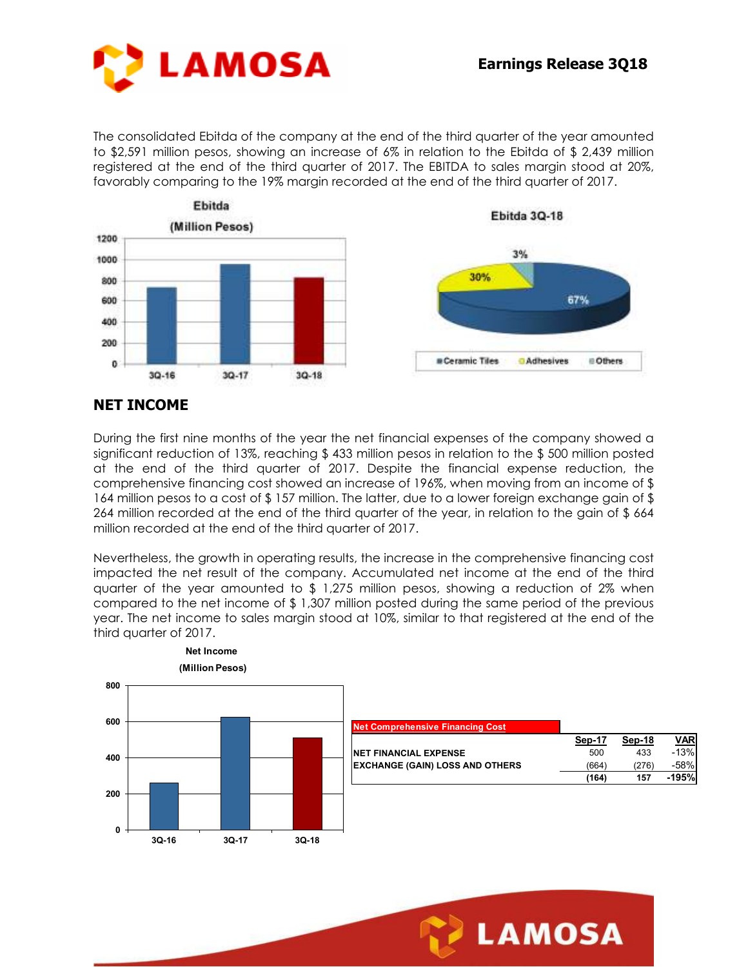

The consolidated Ebitda of the company at the end of the third quarter of the year amounted to \$2,591 million pesos, showing an increase of 6% in relation to the Ebitda of \$ 2,439 million registered at the end of the third quarter of 2017. The EBITDA to sales margin stood at 20%, favorably comparing to the 19% margin recorded at the end of the third quarter of 2017.



#### **NET INCOME**

During the first nine months of the year the net financial expenses of the company showed a significant reduction of 13%, reaching \$ 433 million pesos in relation to the \$ 500 million posted at the end of the third quarter of 2017. Despite the financial expense reduction, the comprehensive financing cost showed an increase of 196%, when moving from an income of \$ 164 million pesos to a cost of \$157 million. The latter, due to a lower foreign exchange gain of \$ 264 million recorded at the end of the third quarter of the year, in relation to the gain of \$ 664 million recorded at the end of the third quarter of 2017.

Nevertheless, the growth in operating results, the increase in the comprehensive financing cost impacted the net result of the company. Accumulated net income at the end of the third quarter of the year amounted to  $$1,275$  million pesos, showing a reduction of 2% when compared to the net income of \$ 1,307 million posted during the same period of the previous year. The net income to sales margin stood at 10%, similar to that registered at the end of the third quarter of 2017.



| <b>Net Comprehensive Financing Cost</b> |        |        |            |
|-----------------------------------------|--------|--------|------------|
|                                         | Sep-17 | Sep-18 | <b>VAR</b> |
| <b>NET FINANCIAL EXPENSE</b>            | 500    | 433    | $-13%$     |
| <b>EXCHANGE (GAIN) LOSS AND OTHERS</b>  | (664)  | (276)  | $-58%$     |
|                                         | (164)  | 157    | -195%      |
|                                         |        |        |            |